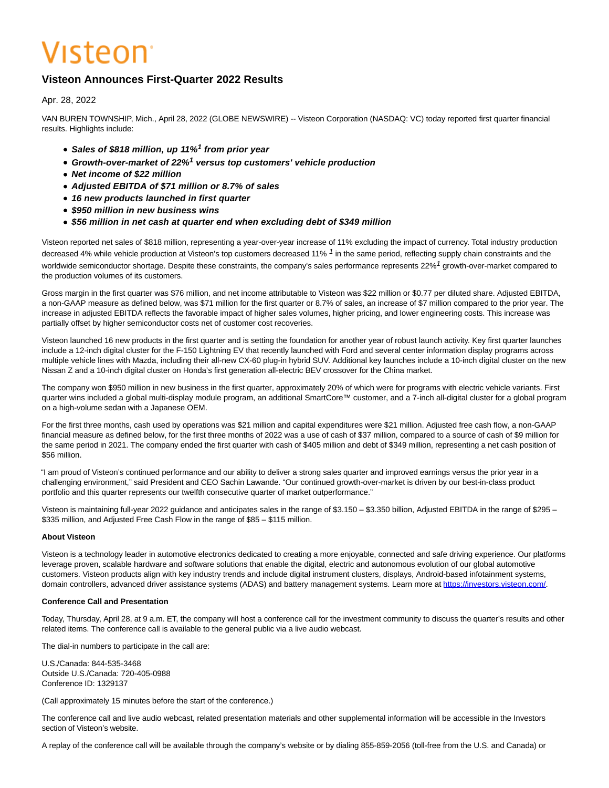# Visteon<sup>.</sup>

# **Visteon Announces First-Quarter 2022 Results**

Apr. 28, 2022

VAN BUREN TOWNSHIP, Mich., April 28, 2022 (GLOBE NEWSWIRE) -- Visteon Corporation (NASDAQ: VC) today reported first quarter financial results. Highlights include:

- **Sales of \$818 million, up 11%<sup>1</sup> from prior year**
- Growth-over-market of 22%<sup>1</sup> versus top customers' vehicle production
- **Net income of \$22 million**
- **Adjusted EBITDA of \$71 million or 8.7% of sales**
- **16 new products launched in first quarter**
- **\$950 million in new business wins**
- **\$56 million in net cash at quarter end when excluding debt of \$349 million**

Visteon reported net sales of \$818 million, representing a year-over-year increase of 11% excluding the impact of currency. Total industry production decreased 4% while vehicle production at Visteon's top customers decreased 11% <sup>1</sup> in the same period, reflecting supply chain constraints and the worldwide semiconductor shortage. Despite these constraints, the company's sales performance represents 22%<sup>1</sup> growth-over-market compared to the production volumes of its customers.

Gross margin in the first quarter was \$76 million, and net income attributable to Visteon was \$22 million or \$0.77 per diluted share. Adjusted EBITDA, a non-GAAP measure as defined below, was \$71 million for the first quarter or 8.7% of sales, an increase of \$7 million compared to the prior year. The increase in adjusted EBITDA reflects the favorable impact of higher sales volumes, higher pricing, and lower engineering costs. This increase was partially offset by higher semiconductor costs net of customer cost recoveries.

Visteon launched 16 new products in the first quarter and is setting the foundation for another year of robust launch activity. Key first quarter launches include a 12-inch digital cluster for the F-150 Lightning EV that recently launched with Ford and several center information display programs across multiple vehicle lines with Mazda, including their all-new CX-60 plug-in hybrid SUV. Additional key launches include a 10-inch digital cluster on the new Nissan Z and a 10-inch digital cluster on Honda's first generation all-electric BEV crossover for the China market.

The company won \$950 million in new business in the first quarter, approximately 20% of which were for programs with electric vehicle variants. First quarter wins included a global multi-display module program, an additional SmartCore™ customer, and a 7-inch all-digital cluster for a global program on a high-volume sedan with a Japanese OEM.

For the first three months, cash used by operations was \$21 million and capital expenditures were \$21 million. Adjusted free cash flow, a non-GAAP financial measure as defined below, for the first three months of 2022 was a use of cash of \$37 million, compared to a source of cash of \$9 million for the same period in 2021. The company ended the first quarter with cash of \$405 million and debt of \$349 million, representing a net cash position of \$56 million.

"I am proud of Visteon's continued performance and our ability to deliver a strong sales quarter and improved earnings versus the prior year in a challenging environment," said President and CEO Sachin Lawande. "Our continued growth-over-market is driven by our best-in-class product portfolio and this quarter represents our twelfth consecutive quarter of market outperformance."

Visteon is maintaining full-year 2022 guidance and anticipates sales in the range of \$3.150 – \$3.350 billion, Adjusted EBITDA in the range of \$295 – \$335 million, and Adjusted Free Cash Flow in the range of \$85 – \$115 million.

# **About Visteon**

Visteon is a technology leader in automotive electronics dedicated to creating a more enjoyable, connected and safe driving experience. Our platforms leverage proven, scalable hardware and software solutions that enable the digital, electric and autonomous evolution of our global automotive customers. Visteon products align with key industry trends and include digital instrument clusters, displays, Android-based infotainment systems, domain controllers, advanced driver assistance systems (ADAS) and battery management systems. Learn more at https://investors.visteon.com/.

#### **Conference Call and Presentation**

Today, Thursday, April 28, at 9 a.m. ET, the company will host a conference call for the investment community to discuss the quarter's results and other related items. The conference call is available to the general public via a live audio webcast.

The dial-in numbers to participate in the call are:

U.S./Canada: 844-535-3468 Outside U.S./Canada: 720-405-0988 Conference ID: 1329137

(Call approximately 15 minutes before the start of the conference.)

The conference call and live audio webcast, related presentation materials and other supplemental information will be accessible in the Investors section of Visteon's website.

A replay of the conference call will be available through the company's website or by dialing 855-859-2056 (toll-free from the U.S. and Canada) or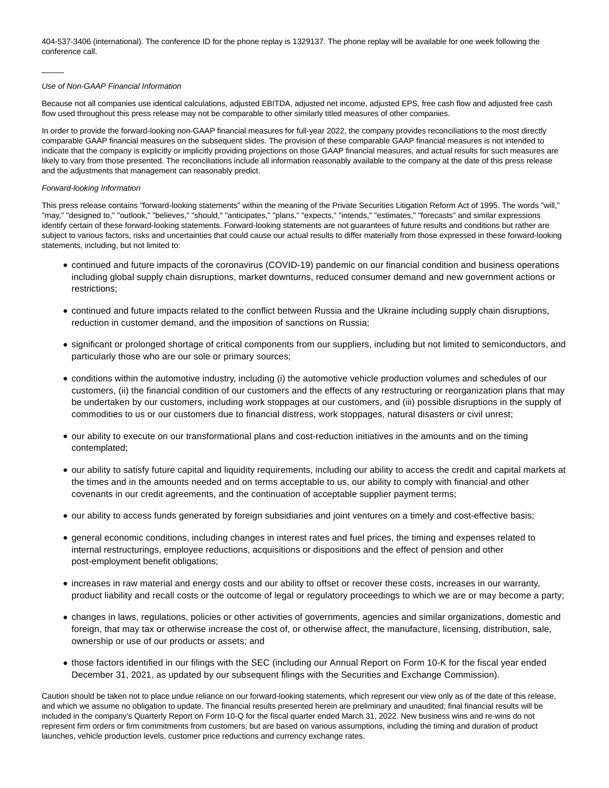404-537-3406 (international). The conference ID for the phone replay is 1329137. The phone replay will be available for one week following the conference call.

#### Use of Non-GAAP Financial Information

Because not all companies use identical calculations, adjusted EBITDA, adjusted net income, adjusted EPS, free cash flow and adjusted free cash flow used throughout this press release may not be comparable to other similarly titled measures of other companies.

In order to provide the forward-looking non-GAAP financial measures for full-year 2022, the company provides reconciliations to the most directly comparable GAAP financial measures on the subsequent slides. The provision of these comparable GAAP financial measures is not intended to indicate that the company is explicitly or implicitly providing projections on those GAAP financial measures, and actual results for such measures are likely to vary from those presented. The reconciliations include all information reasonably available to the company at the date of this press release and the adjustments that management can reasonably predict.

#### Forward-looking Information

 $\overline{\phantom{a}}$ 

This press release contains "forward-looking statements" within the meaning of the Private Securities Litigation Reform Act of 1995. The words "will," "may," "designed to," "outlook," "believes," "should," "anticipates," "plans," "expects," "intends," "estimates," "forecasts" and similar expressions identify certain of these forward-looking statements. Forward-looking statements are not guarantees of future results and conditions but rather are subject to various factors, risks and uncertainties that could cause our actual results to differ materially from those expressed in these forward-looking statements, including, but not limited to:

- continued and future impacts of the coronavirus (COVID-19) pandemic on our financial condition and business operations including global supply chain disruptions, market downturns, reduced consumer demand and new government actions or restrictions;
- continued and future impacts related to the conflict between Russia and the Ukraine including supply chain disruptions, reduction in customer demand, and the imposition of sanctions on Russia;
- significant or prolonged shortage of critical components from our suppliers, including but not limited to semiconductors, and particularly those who are our sole or primary sources;
- conditions within the automotive industry, including (i) the automotive vehicle production volumes and schedules of our customers, (ii) the financial condition of our customers and the effects of any restructuring or reorganization plans that may be undertaken by our customers, including work stoppages at our customers, and (iii) possible disruptions in the supply of commodities to us or our customers due to financial distress, work stoppages, natural disasters or civil unrest;
- our ability to execute on our transformational plans and cost-reduction initiatives in the amounts and on the timing contemplated;
- our ability to satisfy future capital and liquidity requirements, including our ability to access the credit and capital markets at the times and in the amounts needed and on terms acceptable to us, our ability to comply with financial and other covenants in our credit agreements, and the continuation of acceptable supplier payment terms;
- our ability to access funds generated by foreign subsidiaries and joint ventures on a timely and cost-effective basis;
- general economic conditions, including changes in interest rates and fuel prices, the timing and expenses related to internal restructurings, employee reductions, acquisitions or dispositions and the effect of pension and other post-employment benefit obligations;
- increases in raw material and energy costs and our ability to offset or recover these costs, increases in our warranty, product liability and recall costs or the outcome of legal or regulatory proceedings to which we are or may become a party;
- changes in laws, regulations, policies or other activities of governments, agencies and similar organizations, domestic and foreign, that may tax or otherwise increase the cost of, or otherwise affect, the manufacture, licensing, distribution, sale, ownership or use of our products or assets; and
- those factors identified in our filings with the SEC (including our Annual Report on Form 10-K for the fiscal year ended December 31, 2021, as updated by our subsequent filings with the Securities and Exchange Commission).

Caution should be taken not to place undue reliance on our forward-looking statements, which represent our view only as of the date of this release, and which we assume no obligation to update. The financial results presented herein are preliminary and unaudited; final financial results will be included in the company's Quarterly Report on Form 10-Q for the fiscal quarter ended March 31, 2022. New business wins and re-wins do not represent firm orders or firm commitments from customers, but are based on various assumptions, including the timing and duration of product launches, vehicle production levels, customer price reductions and currency exchange rates.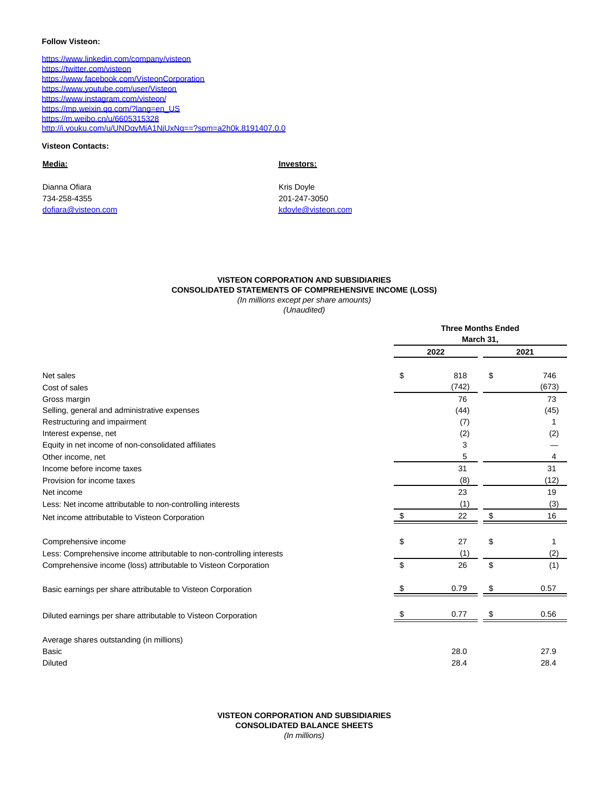#### **Follow Visteon:**

[https://www.linkedin.com/company/visteon](https://www.globenewswire.com/Tracker?data=nL4FjQVFnkHNwBFRooMwjBkHMQOrDoBo-Yo4cDcXrFy7xNUAhk6BZpx9rUAPrOZ0rmDjqiBJvYfq6FLFBNeRBDgcdWn_Jv-1VwBNAOvRiI53aiyvRojK2ITXiiNfSvraJnnlhB77Ej2kskioJISJ9w==) [https://twitter.com/visteon](https://www.globenewswire.com/Tracker?data=nL4FjQVFnkHNwBFRooMwjJT4BvJ8yusy3gRm3wI5zmWOEXbISQ_g9gyZ2vRkvmz8J7XDiLslmW_F5B6wpv73mfBPSqMA_tCmK0i12rJRG8I=) [https://www.facebook.com/VisteonCorporation](https://www.globenewswire.com/Tracker?data=nL4FjQVFnkHNwBFRooMwjCYPyw0rnKgIHmfPaDP5m902EVsBbehOHQUaRo3l9T080e3wjdL7lhrxZrMTM4kfZsywJfcFnKXJZ3ntfMujbm2nyYWAa5SpPaXViljM5CL6pR9vEGIj4JSzY4ma6KpTyA==) [https://www.youtube.com/user/Visteon](https://www.globenewswire.com/Tracker?data=nL4FjQVFnkHNwBFRooMwjAiR_my-3El_CMAzC8e-_xypCrdyZn2SqsUPI1RIezLX5RHu2z9Y_dghRNggAnRuHx0M0D32Scf6HLvHerutIN-cCncuvSI-9dtxX_eSwMSP) [https://www.instagram.com/visteon/](https://www.globenewswire.com/Tracker?data=nL4FjQVFnkHNwBFRooMwjIFQHWmCinyedLEZNX6lII2171z-XSwajyK2Lp9dX50YVmehwVMSWfIHFEZ6vp_cqEcoqkYUL8dpLtYKsNreT5F2wWerbyXtoAbhP2khHy9P) [https://mp.weixin.qq.com/?lang=en\\_US](https://www.globenewswire.com/Tracker?data=nL4FjQVFnkHNwBFRooMwjCtramJT26PGfOOUaCtV4p28iwxvXSSaBjnz1ybFYzbCXrjoQpflyEbqmgYLV-Wr_eYMwD4Zfd0L0MSV-738v5aQFYYhJD7bF7BkqL7PKPfY) [https://m.weibo.cn/u/6605315328](https://www.globenewswire.com/Tracker?data=nL4FjQVFnkHNwBFRooMwjIcYz2BH_xQd3KqNHAYK5kWtx1e13qITnqeoIPpUg54Ca2XW5ZYJgFpAqhONzget0IiBWWQGtCX2jq2p78Qh0GxE-2XfIOHyQBP74kUtizxC) [http://i.youku.com/u/UNDgyMjA1NjUxNg==?spm=a2h0k.8191407.0.0](https://www.globenewswire.com/Tracker?data=oCY2203AtFBy0ANDR_lsmmzflrm9-LsM0NJK02BtvyuhiCaaKG-nrKcXrSIIjPQP4HkKgqKoonwsJAXqEG8pPfT6euHb6w3co5mcxjrVzdq55fRRQ4XpR7_wuoQSiATdkpo-C1rairYa40wqN2VPFDvRRQvqn3bifBsF4a1UsQsN5KMxLrNfJVSnShBIBMAJ)

# **Visteon Contacts:**

Dianna Ofiara **Kris Doyle** Kris Doyle 734-258-4355 201-247-3050 [dofiara@visteon.com](mailto:dofiara@visteon.com) entry and the state of the state of the [kdoyle@visteon.com](mailto:kdoyle@visteon.com)

**Media: Investors:**

# **VISTEON CORPORATION AND SUBSIDIARIES CONSOLIDATED STATEMENTS OF COMPREHENSIVE INCOME (LOSS)**

(In millions except per share amounts)

(Unaudited)

|                                                                      | <b>Three Months Ended</b><br>March 31, |       |    |       |  |
|----------------------------------------------------------------------|----------------------------------------|-------|----|-------|--|
|                                                                      |                                        |       |    |       |  |
|                                                                      |                                        | 2022  |    | 2021  |  |
| Net sales                                                            | \$                                     | 818   | \$ | 746   |  |
| Cost of sales                                                        |                                        | (742) |    | (673) |  |
| Gross margin                                                         |                                        | 76    |    | 73    |  |
| Selling, general and administrative expenses                         |                                        | (44)  |    | (45)  |  |
| Restructuring and impairment                                         |                                        | (7)   |    |       |  |
| Interest expense, net                                                |                                        | (2)   |    | (2)   |  |
| Equity in net income of non-consolidated affiliates                  |                                        | 3     |    |       |  |
| Other income, net                                                    |                                        | 5     |    | 4     |  |
| Income before income taxes                                           |                                        | 31    |    | 31    |  |
| Provision for income taxes                                           |                                        | (8)   |    | (12)  |  |
| Net income                                                           |                                        | 23    |    | 19    |  |
| Less: Net income attributable to non-controlling interests           |                                        | (1)   |    | (3)   |  |
| Net income attributable to Visteon Corporation                       | \$                                     | 22    | \$ | 16    |  |
| Comprehensive income                                                 | \$                                     | 27    | \$ | 1     |  |
| Less: Comprehensive income attributable to non-controlling interests |                                        | (1)   |    | (2)   |  |
| Comprehensive income (loss) attributable to Visteon Corporation      | \$                                     | 26    | \$ | (1)   |  |
| Basic earnings per share attributable to Visteon Corporation         |                                        | 0.79  | \$ | 0.57  |  |
| Diluted earnings per share attributable to Visteon Corporation       |                                        | 0.77  | S  | 0.56  |  |
| Average shares outstanding (in millions)                             |                                        |       |    |       |  |
| Basic                                                                |                                        | 28.0  |    | 27.9  |  |
| <b>Diluted</b>                                                       |                                        | 28.4  |    | 28.4  |  |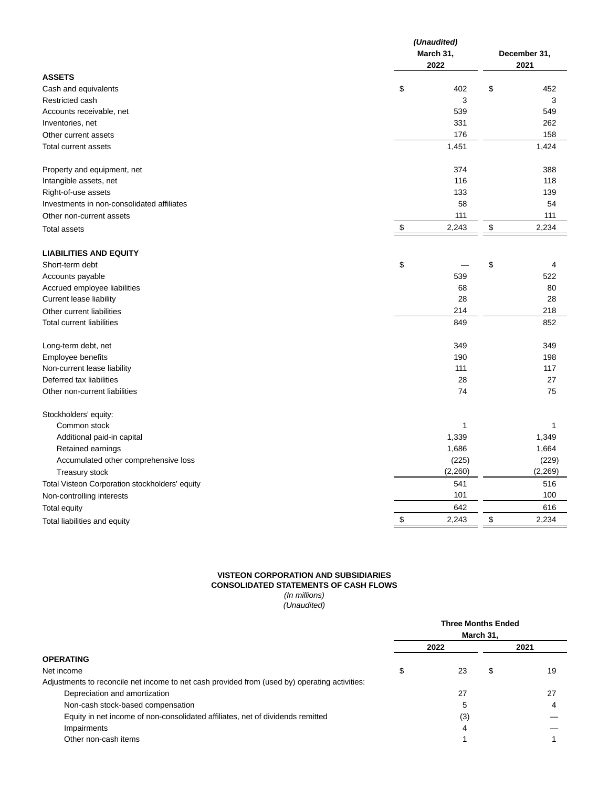|                                                | (Unaudited) |           |      |              |
|------------------------------------------------|-------------|-----------|------|--------------|
|                                                |             | March 31, |      | December 31, |
|                                                |             | 2022      | 2021 |              |
| <b>ASSETS</b>                                  |             |           |      |              |
| Cash and equivalents                           | \$          | 402       | \$   | 452          |
| Restricted cash                                |             | 3         |      | 3            |
| Accounts receivable, net                       |             | 539       |      | 549          |
| Inventories, net                               |             | 331       |      | 262          |
| Other current assets                           |             | 176       |      | 158          |
| Total current assets                           |             | 1,451     |      | 1,424        |
| Property and equipment, net                    |             | 374       |      | 388          |
| Intangible assets, net                         |             | 116       |      | 118          |
| Right-of-use assets                            |             | 133       |      | 139          |
| Investments in non-consolidated affiliates     |             | 58        |      | 54           |
| Other non-current assets                       |             | 111       |      | 111          |
| <b>Total assets</b>                            | \$          | 2,243     | \$   | 2,234        |
| <b>LIABILITIES AND EQUITY</b>                  |             |           |      |              |
| Short-term debt                                | \$          |           | \$   | 4            |
| Accounts payable                               |             | 539       |      | 522          |
| Accrued employee liabilities                   |             | 68        |      | 80           |
| Current lease liability                        |             | 28        |      | 28           |
| Other current liabilities                      |             | 214       |      | 218          |
| <b>Total current liabilities</b>               |             | 849       |      | 852          |
|                                                |             |           |      |              |
| Long-term debt, net                            |             | 349       |      | 349          |
| Employee benefits                              |             | 190       |      | 198          |
| Non-current lease liability                    |             | 111       |      | 117          |
| Deferred tax liabilities                       |             | 28        |      | 27           |
| Other non-current liabilities                  |             | 74        |      | 75           |
| Stockholders' equity:                          |             |           |      |              |
| Common stock                                   |             | 1         |      | 1            |
| Additional paid-in capital                     |             | 1,339     |      | 1,349        |
| Retained earnings                              |             | 1,686     |      | 1,664        |
| Accumulated other comprehensive loss           |             | (225)     |      | (229)        |
| Treasury stock                                 |             | (2, 260)  |      | (2, 269)     |
| Total Visteon Corporation stockholders' equity |             | 541       |      | 516          |
| Non-controlling interests                      |             | 101       |      | 100          |
| Total equity                                   |             | 642       |      | 616          |
| Total liabilities and equity                   | \$          | 2,243     | \$   | 2,234        |
|                                                |             |           |      |              |

# **VISTEON CORPORATION AND SUBSIDIARIES CONSOLIDATED STATEMENTS OF CASH FLOWS**

(In millions) (Unaudited)

|                                                                                               |    | <b>Three Months Ended</b><br>March 31, |    |      |  |  |
|-----------------------------------------------------------------------------------------------|----|----------------------------------------|----|------|--|--|
|                                                                                               |    | 2022                                   |    | 2021 |  |  |
| <b>OPERATING</b>                                                                              |    |                                        |    |      |  |  |
| Net income                                                                                    | \$ | 23                                     | \$ | 19   |  |  |
| Adjustments to reconcile net income to net cash provided from (used by) operating activities: |    |                                        |    |      |  |  |
| Depreciation and amortization                                                                 |    | 27                                     |    | 27   |  |  |
| Non-cash stock-based compensation                                                             |    | 5                                      |    | 4    |  |  |
| Equity in net income of non-consolidated affiliates, net of dividends remitted                |    | (3)                                    |    |      |  |  |
| Impairments                                                                                   |    | 4                                      |    |      |  |  |
| Other non-cash items                                                                          |    |                                        |    |      |  |  |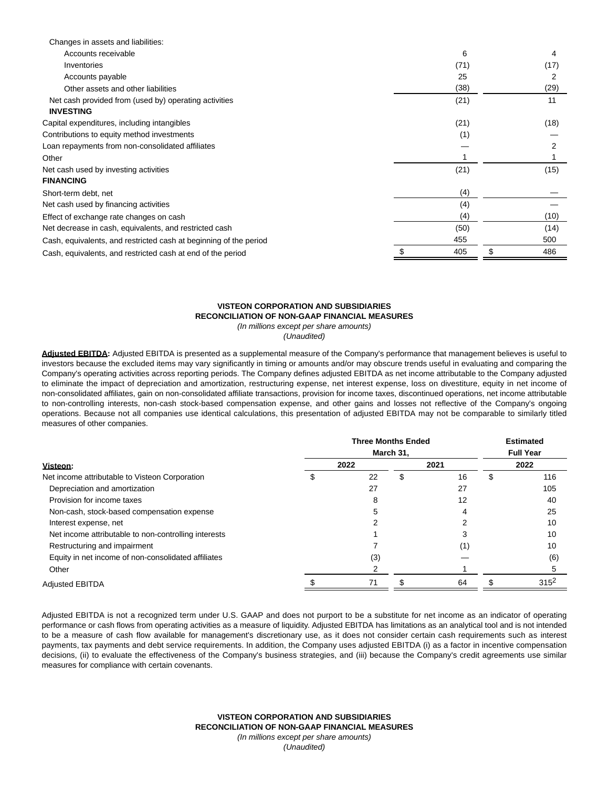| Changes in assets and liabilities:                                |      |           |
|-------------------------------------------------------------------|------|-----------|
| Accounts receivable                                               | 6    | 4         |
| Inventories                                                       | (71) | (17)      |
| Accounts payable                                                  | 25   |           |
| Other assets and other liabilities                                | (38) | (29)      |
| Net cash provided from (used by) operating activities             | (21) | 11        |
| <b>INVESTING</b>                                                  |      |           |
| Capital expenditures, including intangibles                       | (21) | (18)      |
| Contributions to equity method investments                        | (1)  |           |
| Loan repayments from non-consolidated affiliates                  |      |           |
| Other                                                             |      |           |
| Net cash used by investing activities                             | (21) | (15)      |
| <b>FINANCING</b>                                                  |      |           |
| Short-term debt, net                                              | (4)  |           |
| Net cash used by financing activities                             | (4)  |           |
| Effect of exchange rate changes on cash                           | (4)  | (10)      |
| Net decrease in cash, equivalents, and restricted cash            | (50) | (14)      |
| Cash, equivalents, and restricted cash at beginning of the period | 455  | 500       |
| Cash, equivalents, and restricted cash at end of the period       | 405  | \$<br>486 |
|                                                                   |      |           |

#### **VISTEON CORPORATION AND SUBSIDIARIES RECONCILIATION OF NON-GAAP FINANCIAL MEASURES** (In millions except per share amounts)

(Unaudited)

**Adjusted EBITDA:** Adjusted EBITDA is presented as a supplemental measure of the Company's performance that management believes is useful to investors because the excluded items may vary significantly in timing or amounts and/or may obscure trends useful in evaluating and comparing the Company's operating activities across reporting periods. The Company defines adjusted EBITDA as net income attributable to the Company adjusted to eliminate the impact of depreciation and amortization, restructuring expense, net interest expense, loss on divestiture, equity in net income of non-consolidated affiliates, gain on non-consolidated affiliate transactions, provision for income taxes, discontinued operations, net income attributable to non-controlling interests, non-cash stock-based compensation expense, and other gains and losses not reflective of the Company's ongoing operations. Because not all companies use identical calculations, this presentation of adjusted EBITDA may not be comparable to similarly titled measures of other companies.

|                                                      | <b>Three Months Ended</b><br>March 31, |     |      |    | <b>Estimated</b><br><b>Full Year</b> |         |
|------------------------------------------------------|----------------------------------------|-----|------|----|--------------------------------------|---------|
|                                                      |                                        |     |      |    |                                      |         |
| Visteon:                                             | 2022                                   |     | 2021 |    |                                      | 2022    |
| Net income attributable to Visteon Corporation       | S                                      | 22  | ж    | 16 | \$                                   | 116     |
| Depreciation and amortization                        |                                        | 27  |      | 27 |                                      | 105     |
| Provision for income taxes                           |                                        | 8   |      | 12 |                                      | 40      |
| Non-cash, stock-based compensation expense           |                                        |     |      |    |                                      | 25      |
| Interest expense, net                                |                                        |     |      |    |                                      | 10      |
| Net income attributable to non-controlling interests |                                        |     |      |    |                                      | 10      |
| Restructuring and impairment                         |                                        |     |      | 1) |                                      | 10      |
| Equity in net income of non-consolidated affiliates  |                                        | (3) |      |    |                                      | (6)     |
| Other                                                |                                        |     |      |    |                                      |         |
| <b>Adiusted EBITDA</b>                               |                                        | 71  |      | 64 |                                      | $315^2$ |

Adjusted EBITDA is not a recognized term under U.S. GAAP and does not purport to be a substitute for net income as an indicator of operating performance or cash flows from operating activities as a measure of liquidity. Adjusted EBITDA has limitations as an analytical tool and is not intended to be a measure of cash flow available for management's discretionary use, as it does not consider certain cash requirements such as interest payments, tax payments and debt service requirements. In addition, the Company uses adjusted EBITDA (i) as a factor in incentive compensation decisions, (ii) to evaluate the effectiveness of the Company's business strategies, and (iii) because the Company's credit agreements use similar measures for compliance with certain covenants.

> **VISTEON CORPORATION AND SUBSIDIARIES RECONCILIATION OF NON-GAAP FINANCIAL MEASURES** (In millions except per share amounts) (Unaudited)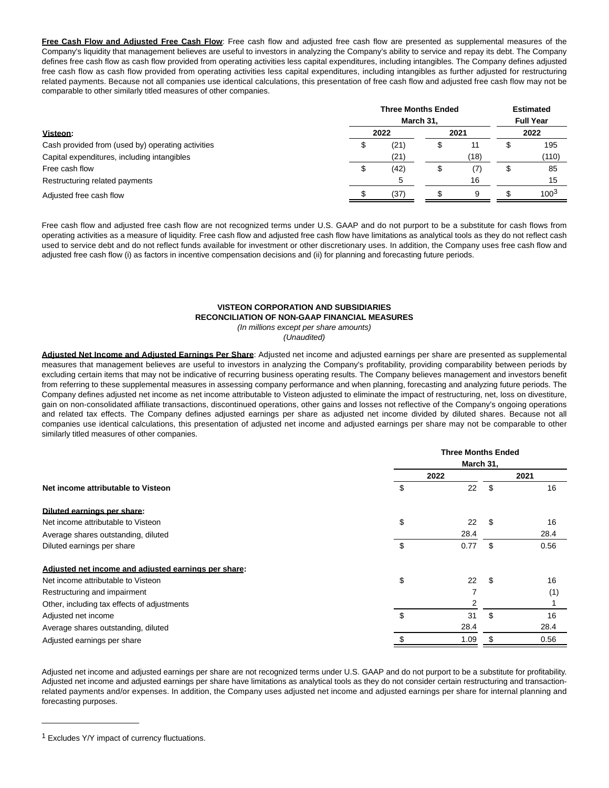**Free Cash Flow and Adjusted Free Cash Flow**: Free cash flow and adjusted free cash flow are presented as supplemental measures of the Company's liquidity that management believes are useful to investors in analyzing the Company's ability to service and repay its debt. The Company defines free cash flow as cash flow provided from operating activities less capital expenditures, including intangibles. The Company defines adjusted free cash flow as cash flow provided from operating activities less capital expenditures, including intangibles as further adjusted for restructuring related payments. Because not all companies use identical calculations, this presentation of free cash flow and adjusted free cash flow may not be comparable to other similarly titled measures of other companies.

|                                                   |   | <b>Three Months Ended</b><br>March 31, |  |      |   | <b>Estimated</b><br><b>Full Year</b> |  |
|---------------------------------------------------|---|----------------------------------------|--|------|---|--------------------------------------|--|
| Visteon:                                          |   | 2022                                   |  | 2021 |   | 2022                                 |  |
| Cash provided from (used by) operating activities |   | (21)                                   |  | 11   |   | 195                                  |  |
| Capital expenditures, including intangibles       |   | (21)                                   |  | (18) |   | (110)                                |  |
| Free cash flow                                    | S | (42)                                   |  | (7)  | S | 85                                   |  |
| Restructuring related payments                    |   |                                        |  | 16   |   | 15                                   |  |
| Adjusted free cash flow                           |   | (37)                                   |  | 9    |   | $100^{3}$                            |  |

Free cash flow and adjusted free cash flow are not recognized terms under U.S. GAAP and do not purport to be a substitute for cash flows from operating activities as a measure of liquidity. Free cash flow and adjusted free cash flow have limitations as analytical tools as they do not reflect cash used to service debt and do not reflect funds available for investment or other discretionary uses. In addition, the Company uses free cash flow and adjusted free cash flow (i) as factors in incentive compensation decisions and (ii) for planning and forecasting future periods.

# **VISTEON CORPORATION AND SUBSIDIARIES RECONCILIATION OF NON-GAAP FINANCIAL MEASURES**

(In millions except per share amounts)

(Unaudited)

**Adjusted Net Income and Adjusted Earnings Per Share**: Adjusted net income and adjusted earnings per share are presented as supplemental measures that management believes are useful to investors in analyzing the Company's profitability, providing comparability between periods by excluding certain items that may not be indicative of recurring business operating results. The Company believes management and investors benefit from referring to these supplemental measures in assessing company performance and when planning, forecasting and analyzing future periods. The Company defines adjusted net income as net income attributable to Visteon adjusted to eliminate the impact of restructuring, net, loss on divestiture, gain on non-consolidated affiliate transactions, discontinued operations, other gains and losses not reflective of the Company's ongoing operations and related tax effects. The Company defines adjusted earnings per share as adjusted net income divided by diluted shares. Because not all companies use identical calculations, this presentation of adjusted net income and adjusted earnings per share may not be comparable to other similarly titled measures of other companies.

|                                                      | <b>Three Months Ended</b> |      |      |      |  |
|------------------------------------------------------|---------------------------|------|------|------|--|
|                                                      | March 31,                 |      |      |      |  |
|                                                      | 2022                      |      | 2021 |      |  |
| Net income attributable to Visteon                   | \$                        | 22   | \$   | 16   |  |
| Diluted earnings per share:                          |                           |      |      |      |  |
| Net income attributable to Visteon                   | \$                        | 22   | - \$ | 16   |  |
| Average shares outstanding, diluted                  |                           | 28.4 |      | 28.4 |  |
| Diluted earnings per share                           | \$                        | 0.77 | \$   | 0.56 |  |
| Adjusted net income and adjusted earnings per share: |                           |      |      |      |  |
| Net income attributable to Visteon                   | \$                        | 22   | - \$ | 16   |  |
| Restructuring and impairment                         |                           | 7    |      | (1)  |  |
| Other, including tax effects of adjustments          |                           | 2    |      |      |  |
| Adjusted net income                                  | \$                        | 31   | \$   | 16   |  |
| Average shares outstanding, diluted                  |                           | 28.4 |      | 28.4 |  |
| Adjusted earnings per share                          |                           | 1.09 |      | 0.56 |  |

Adjusted net income and adjusted earnings per share are not recognized terms under U.S. GAAP and do not purport to be a substitute for profitability. Adjusted net income and adjusted earnings per share have limitations as analytical tools as they do not consider certain restructuring and transactionrelated payments and/or expenses. In addition, the Company uses adjusted net income and adjusted earnings per share for internal planning and forecasting purposes.

 $\_$ 

<sup>1</sup> Excludes Y/Y impact of currency fluctuations.